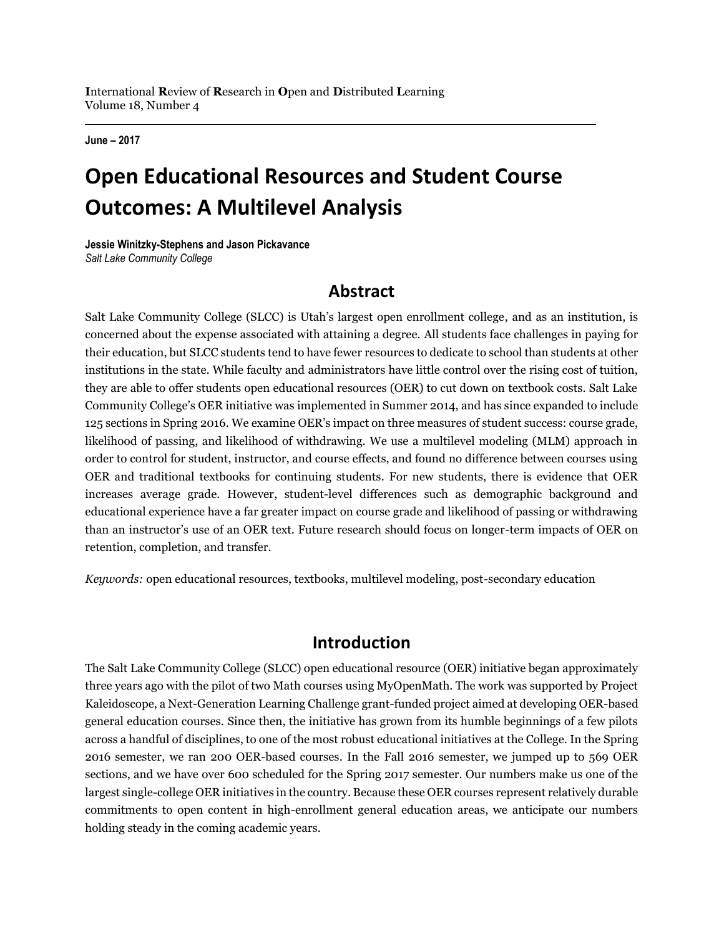**June – 2017**

## **Open Educational Resources and Student Course Outcomes: A Multilevel Analysis**

**Jessie Winitzky-Stephens and Jason Pickavance** *Salt Lake Community College*

### **Abstract**

Salt Lake Community College (SLCC) is Utah's largest open enrollment college, and as an institution, is concerned about the expense associated with attaining a degree. All students face challenges in paying for their education, but SLCC students tend to have fewer resources to dedicate to school than students at other institutions in the state. While faculty and administrators have little control over the rising cost of tuition, they are able to offer students open educational resources (OER) to cut down on textbook costs. Salt Lake Community College's OER initiative was implemented in Summer 2014, and has since expanded to include 125 sections in Spring 2016. We examine OER's impact on three measures of student success: course grade, likelihood of passing, and likelihood of withdrawing. We use a multilevel modeling (MLM) approach in order to control for student, instructor, and course effects, and found no difference between courses using OER and traditional textbooks for continuing students. For new students, there is evidence that OER increases average grade. However, student-level differences such as demographic background and educational experience have a far greater impact on course grade and likelihood of passing or withdrawing than an instructor's use of an OER text. Future research should focus on longer-term impacts of OER on retention, completion, and transfer.

*Keywords:* open educational resources, textbooks, multilevel modeling, post-secondary education

### **Introduction**

The Salt Lake Community College (SLCC) open educational resource (OER) initiative began approximately three years ago with the pilot of two Math courses using MyOpenMath. The work was supported by Project Kaleidoscope, a Next-Generation Learning Challenge grant-funded project aimed at developing OER-based general education courses. Since then, the initiative has grown from its humble beginnings of a few pilots across a handful of disciplines, to one of the most robust educational initiatives at the College. In the Spring 2016 semester, we ran 200 OER-based courses. In the Fall 2016 semester, we jumped up to 569 OER sections, and we have over 600 scheduled for the Spring 2017 semester. Our numbers make us one of the largest single-college OER initiatives in the country. Because these OER courses represent relatively durable commitments to open content in high-enrollment general education areas, we anticipate our numbers holding steady in the coming academic years.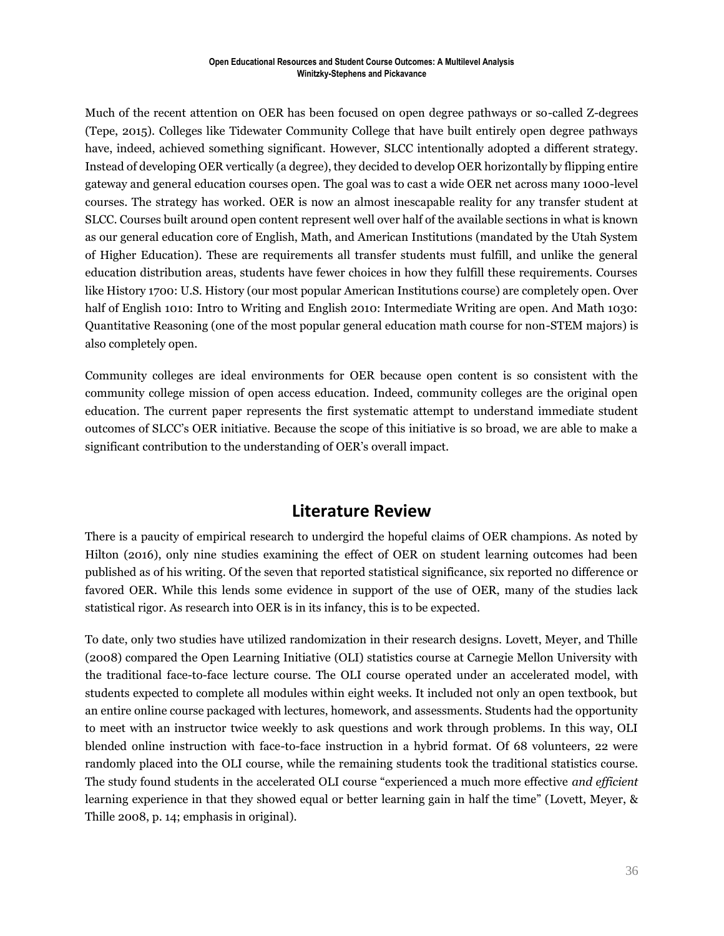Much of the recent attention on OER has been focused on open degree pathways or so-called Z-degrees (Tepe, 2015). Colleges like Tidewater Community College that have built entirely open degree pathways have, indeed, achieved something significant. However, SLCC intentionally adopted a different strategy. Instead of developing OER vertically (a degree), they decided to develop OER horizontally by flipping entire gateway and general education courses open. The goal was to cast a wide OER net across many 1000-level courses. The strategy has worked. OER is now an almost inescapable reality for any transfer student at SLCC. Courses built around open content represent well over half of the available sections in what is known as our general education core of English, Math, and American Institutions (mandated by the Utah System of Higher Education). These are requirements all transfer students must fulfill, and unlike the general education distribution areas, students have fewer choices in how they fulfill these requirements. Courses like History 1700: U.S. History (our most popular American Institutions course) are completely open. Over half of English 1010: Intro to Writing and English 2010: Intermediate Writing are open. And Math 1030: Quantitative Reasoning (one of the most popular general education math course for non-STEM majors) is also completely open.

Community colleges are ideal environments for OER because open content is so consistent with the community college mission of open access education. Indeed, community colleges are the original open education. The current paper represents the first systematic attempt to understand immediate student outcomes of SLCC's OER initiative. Because the scope of this initiative is so broad, we are able to make a significant contribution to the understanding of OER's overall impact.

### **Literature Review**

There is a paucity of empirical research to undergird the hopeful claims of OER champions. As noted by Hilton (2016), only nine studies examining the effect of OER on student learning outcomes had been published as of his writing. Of the seven that reported statistical significance, six reported no difference or favored OER. While this lends some evidence in support of the use of OER, many of the studies lack statistical rigor. As research into OER is in its infancy, this is to be expected.

To date, only two studies have utilized randomization in their research designs. Lovett, Meyer, and Thille (2008) compared the Open Learning Initiative (OLI) statistics course at Carnegie Mellon University with the traditional face-to-face lecture course. The OLI course operated under an accelerated model, with students expected to complete all modules within eight weeks. It included not only an open textbook, but an entire online course packaged with lectures, homework, and assessments. Students had the opportunity to meet with an instructor twice weekly to ask questions and work through problems. In this way, OLI blended online instruction with face-to-face instruction in a hybrid format. Of 68 volunteers, 22 were randomly placed into the OLI course, while the remaining students took the traditional statistics course. The study found students in the accelerated OLI course "experienced a much more effective *and efficient* learning experience in that they showed equal or better learning gain in half the time" (Lovett, Meyer, & Thille 2008, p. 14; emphasis in original).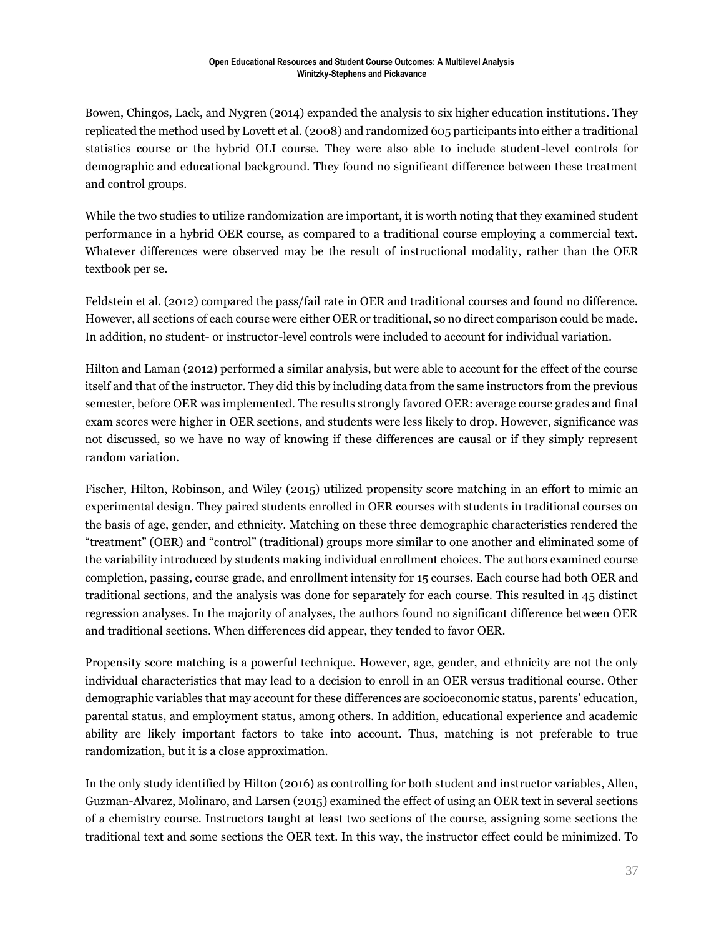Bowen, Chingos, Lack, and Nygren (2014) expanded the analysis to six higher education institutions. They replicated the method used by Lovett et al. (2008) and randomized 605 participants into either a traditional statistics course or the hybrid OLI course. They were also able to include student-level controls for demographic and educational background. They found no significant difference between these treatment and control groups.

While the two studies to utilize randomization are important, it is worth noting that they examined student performance in a hybrid OER course, as compared to a traditional course employing a commercial text. Whatever differences were observed may be the result of instructional modality, rather than the OER textbook per se.

Feldstein et al. (2012) compared the pass/fail rate in OER and traditional courses and found no difference. However, all sections of each course were either OER or traditional, so no direct comparison could be made. In addition, no student- or instructor-level controls were included to account for individual variation.

Hilton and Laman (2012) performed a similar analysis, but were able to account for the effect of the course itself and that of the instructor. They did this by including data from the same instructors from the previous semester, before OER was implemented. The results strongly favored OER: average course grades and final exam scores were higher in OER sections, and students were less likely to drop. However, significance was not discussed, so we have no way of knowing if these differences are causal or if they simply represent random variation.

Fischer, Hilton, Robinson, and Wiley (2015) utilized propensity score matching in an effort to mimic an experimental design. They paired students enrolled in OER courses with students in traditional courses on the basis of age, gender, and ethnicity. Matching on these three demographic characteristics rendered the "treatment" (OER) and "control" (traditional) groups more similar to one another and eliminated some of the variability introduced by students making individual enrollment choices. The authors examined course completion, passing, course grade, and enrollment intensity for 15 courses. Each course had both OER and traditional sections, and the analysis was done for separately for each course. This resulted in 45 distinct regression analyses. In the majority of analyses, the authors found no significant difference between OER and traditional sections. When differences did appear, they tended to favor OER.

Propensity score matching is a powerful technique. However, age, gender, and ethnicity are not the only individual characteristics that may lead to a decision to enroll in an OER versus traditional course. Other demographic variables that may account for these differences are socioeconomic status, parents' education, parental status, and employment status, among others. In addition, educational experience and academic ability are likely important factors to take into account. Thus, matching is not preferable to true randomization, but it is a close approximation.

In the only study identified by Hilton (2016) as controlling for both student and instructor variables, Allen, Guzman-Alvarez, Molinaro, and Larsen (2015) examined the effect of using an OER text in several sections of a chemistry course. Instructors taught at least two sections of the course, assigning some sections the traditional text and some sections the OER text. In this way, the instructor effect could be minimized. To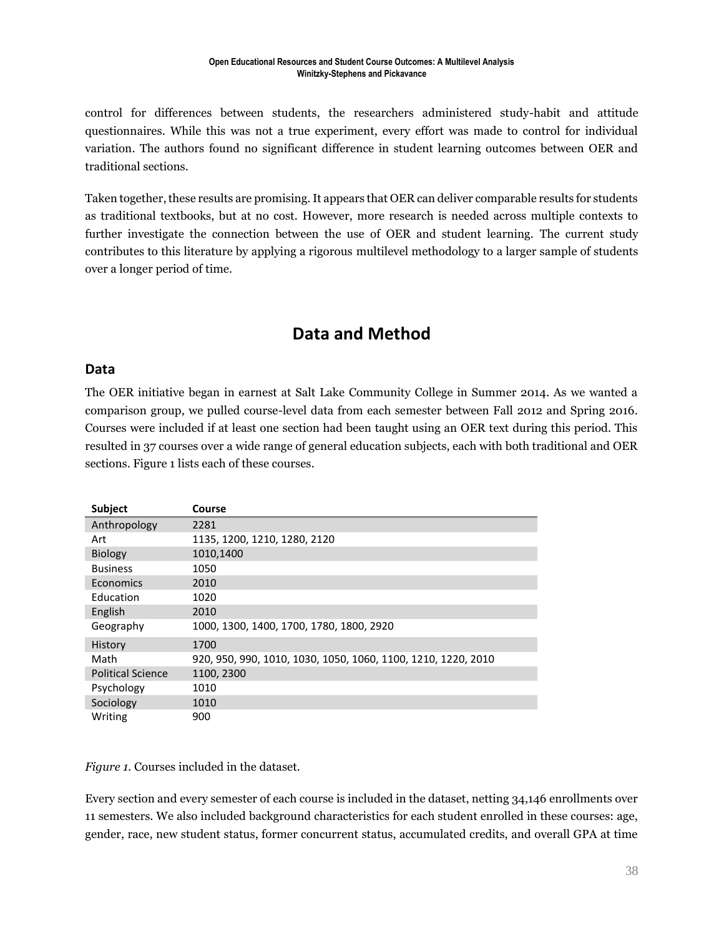control for differences between students, the researchers administered study-habit and attitude questionnaires. While this was not a true experiment, every effort was made to control for individual variation. The authors found no significant difference in student learning outcomes between OER and traditional sections.

Taken together, these results are promising. It appears that OER can deliver comparable results for students as traditional textbooks, but at no cost. However, more research is needed across multiple contexts to further investigate the connection between the use of OER and student learning. The current study contributes to this literature by applying a rigorous multilevel methodology to a larger sample of students over a longer period of time.

### **Data and Method**

#### **Data**

The OER initiative began in earnest at Salt Lake Community College in Summer 2014. As we wanted a comparison group, we pulled course-level data from each semester between Fall 2012 and Spring 2016. Courses were included if at least one section had been taught using an OER text during this period. This resulted in 37 courses over a wide range of general education subjects, each with both traditional and OER sections. Figure 1 lists each of these courses.

| Subject                  | Course                                                        |
|--------------------------|---------------------------------------------------------------|
| Anthropology             | 2281                                                          |
| Art                      | 1135, 1200, 1210, 1280, 2120                                  |
| Biology                  | 1010,1400                                                     |
| <b>Business</b>          | 1050                                                          |
| Economics                | 2010                                                          |
| Education                | 1020                                                          |
| English                  | 2010                                                          |
| Geography                | 1000, 1300, 1400, 1700, 1780, 1800, 2920                      |
| History                  | 1700                                                          |
| Math                     | 920, 950, 990, 1010, 1030, 1050, 1060, 1100, 1210, 1220, 2010 |
| <b>Political Science</b> | 1100, 2300                                                    |
| Psychology               | 1010                                                          |
| Sociology                | 1010                                                          |
| Writing                  | 900                                                           |

*Figure 1.* Courses included in the dataset.

Every section and every semester of each course is included in the dataset, netting 34,146 enrollments over 11 semesters. We also included background characteristics for each student enrolled in these courses: age, gender, race, new student status, former concurrent status, accumulated credits, and overall GPA at time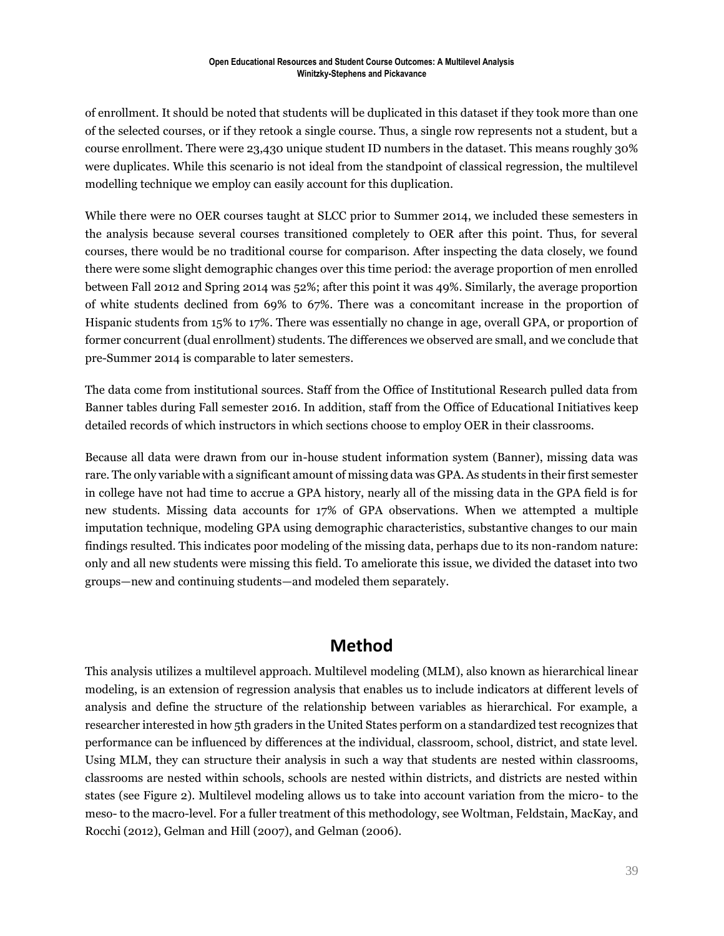of enrollment. It should be noted that students will be duplicated in this dataset if they took more than one of the selected courses, or if they retook a single course. Thus, a single row represents not a student, but a course enrollment. There were 23,430 unique student ID numbers in the dataset. This means roughly 30% were duplicates. While this scenario is not ideal from the standpoint of classical regression, the multilevel modelling technique we employ can easily account for this duplication.

While there were no OER courses taught at SLCC prior to Summer 2014, we included these semesters in the analysis because several courses transitioned completely to OER after this point. Thus, for several courses, there would be no traditional course for comparison. After inspecting the data closely, we found there were some slight demographic changes over this time period: the average proportion of men enrolled between Fall 2012 and Spring 2014 was 52%; after this point it was 49%. Similarly, the average proportion of white students declined from 69% to 67%. There was a concomitant increase in the proportion of Hispanic students from 15% to 17%. There was essentially no change in age, overall GPA, or proportion of former concurrent (dual enrollment) students. The differences we observed are small, and we conclude that pre-Summer 2014 is comparable to later semesters.

The data come from institutional sources. Staff from the Office of Institutional Research pulled data from Banner tables during Fall semester 2016. In addition, staff from the Office of Educational Initiatives keep detailed records of which instructors in which sections choose to employ OER in their classrooms.

Because all data were drawn from our in-house student information system (Banner), missing data was rare. The only variable with a significant amount of missing data was GPA. As students in their first semester in college have not had time to accrue a GPA history, nearly all of the missing data in the GPA field is for new students. Missing data accounts for 17% of GPA observations. When we attempted a multiple imputation technique, modeling GPA using demographic characteristics, substantive changes to our main findings resulted. This indicates poor modeling of the missing data, perhaps due to its non-random nature: only and all new students were missing this field. To ameliorate this issue, we divided the dataset into two groups—new and continuing students—and modeled them separately.

### **Method**

This analysis utilizes a multilevel approach. Multilevel modeling (MLM), also known as hierarchical linear modeling, is an extension of regression analysis that enables us to include indicators at different levels of analysis and define the structure of the relationship between variables as hierarchical. For example, a researcher interested in how 5th graders in the United States perform on a standardized test recognizes that performance can be influenced by differences at the individual, classroom, school, district, and state level. Using MLM, they can structure their analysis in such a way that students are nested within classrooms, classrooms are nested within schools, schools are nested within districts, and districts are nested within states (see Figure 2). Multilevel modeling allows us to take into account variation from the micro- to the meso- to the macro-level. For a fuller treatment of this methodology, see Woltman, Feldstain, MacKay, and Rocchi (2012), Gelman and Hill (2007), and Gelman (2006).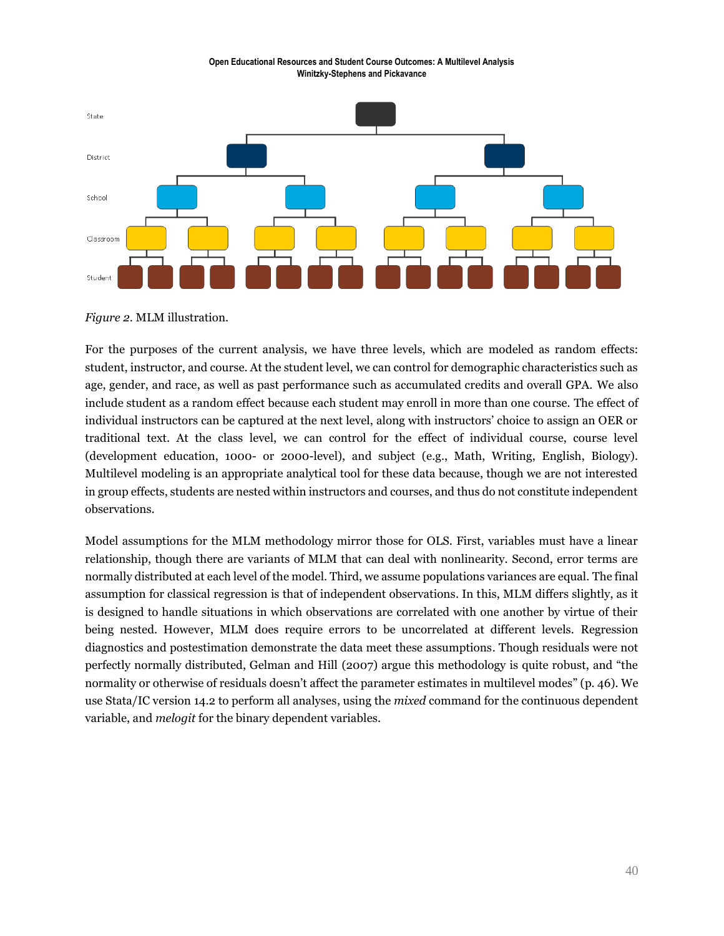

*Figure 2*. MLM illustration.

For the purposes of the current analysis, we have three levels, which are modeled as random effects: student, instructor, and course. At the student level, we can control for demographic characteristics such as age, gender, and race, as well as past performance such as accumulated credits and overall GPA. We also include student as a random effect because each student may enroll in more than one course. The effect of individual instructors can be captured at the next level, along with instructors' choice to assign an OER or traditional text. At the class level, we can control for the effect of individual course, course level (development education, 1000- or 2000-level), and subject (e.g., Math, Writing, English, Biology). Multilevel modeling is an appropriate analytical tool for these data because, though we are not interested in group effects, students are nested within instructors and courses, and thus do not constitute independent observations.

Model assumptions for the MLM methodology mirror those for OLS. First, variables must have a linear relationship, though there are variants of MLM that can deal with nonlinearity. Second, error terms are normally distributed at each level of the model. Third, we assume populations variances are equal. The final assumption for classical regression is that of independent observations. In this, MLM differs slightly, as it is designed to handle situations in which observations are correlated with one another by virtue of their being nested. However, MLM does require errors to be uncorrelated at different levels. Regression diagnostics and postestimation demonstrate the data meet these assumptions. Though residuals were not perfectly normally distributed, Gelman and Hill (2007) argue this methodology is quite robust, and "the normality or otherwise of residuals doesn't affect the parameter estimates in multilevel modes" (p. 46). We use Stata/IC version 14.2 to perform all analyses, using the *mixed* command for the continuous dependent variable, and *melogit* for the binary dependent variables.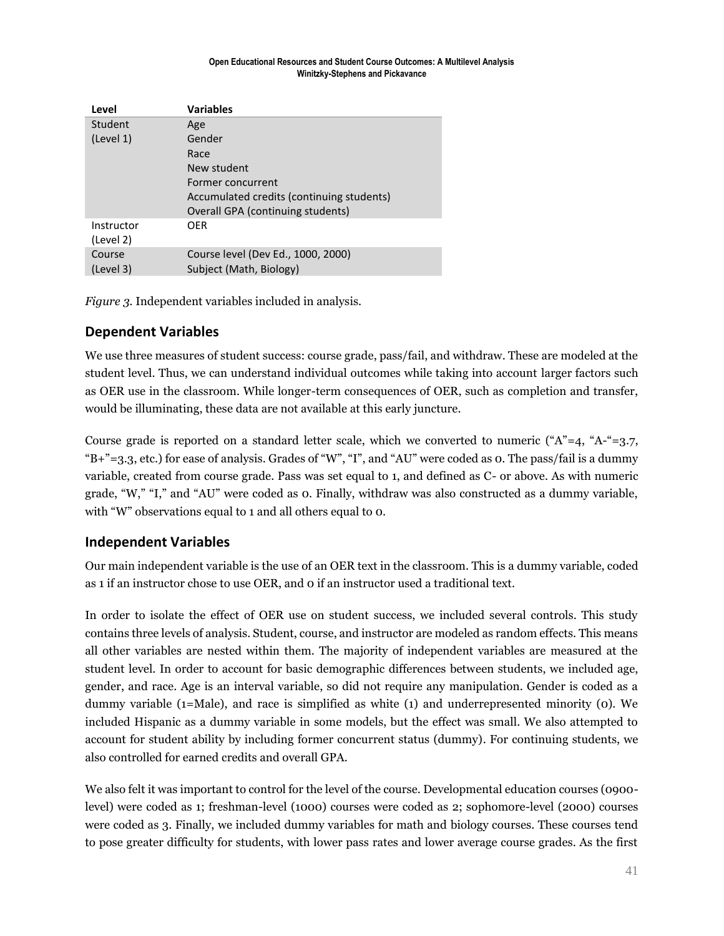| Level      | <b>Variables</b>                          |
|------------|-------------------------------------------|
| Student    | Age                                       |
| (Level 1)  | Gender                                    |
|            | Race                                      |
|            | New student                               |
|            | Former concurrent                         |
|            | Accumulated credits (continuing students) |
|            | Overall GPA (continuing students)         |
| Instructor | <b>OER</b>                                |
| (Level 2)  |                                           |
| Course     | Course level (Dev Ed., 1000, 2000)        |
| (Level 3)  | Subject (Math, Biology)                   |

*Figure 3.* Independent variables included in analysis.

### **Dependent Variables**

We use three measures of student success: course grade, pass/fail, and withdraw. These are modeled at the student level. Thus, we can understand individual outcomes while taking into account larger factors such as OER use in the classroom. While longer-term consequences of OER, such as completion and transfer, would be illuminating, these data are not available at this early juncture.

Course grade is reported on a standard letter scale, which we converted to numeric (" $A"=4$ , " $A$ -"=3.7, "B+"=3.3, etc.) for ease of analysis. Grades of "W", "I", and "AU" were coded as 0. The pass/fail is a dummy variable, created from course grade. Pass was set equal to 1, and defined as C- or above. As with numeric grade, "W," "I," and "AU" were coded as 0. Finally, withdraw was also constructed as a dummy variable, with "W" observations equal to 1 and all others equal to 0.

### **Independent Variables**

Our main independent variable is the use of an OER text in the classroom. This is a dummy variable, coded as 1 if an instructor chose to use OER, and 0 if an instructor used a traditional text.

In order to isolate the effect of OER use on student success, we included several controls. This study contains three levels of analysis. Student, course, and instructor are modeled as random effects. This means all other variables are nested within them. The majority of independent variables are measured at the student level. In order to account for basic demographic differences between students, we included age, gender, and race. Age is an interval variable, so did not require any manipulation. Gender is coded as a dummy variable (1=Male), and race is simplified as white (1) and underrepresented minority (0). We included Hispanic as a dummy variable in some models, but the effect was small. We also attempted to account for student ability by including former concurrent status (dummy). For continuing students, we also controlled for earned credits and overall GPA.

We also felt it was important to control for the level of the course. Developmental education courses (0900level) were coded as 1; freshman-level (1000) courses were coded as 2; sophomore-level (2000) courses were coded as 3. Finally, we included dummy variables for math and biology courses. These courses tend to pose greater difficulty for students, with lower pass rates and lower average course grades. As the first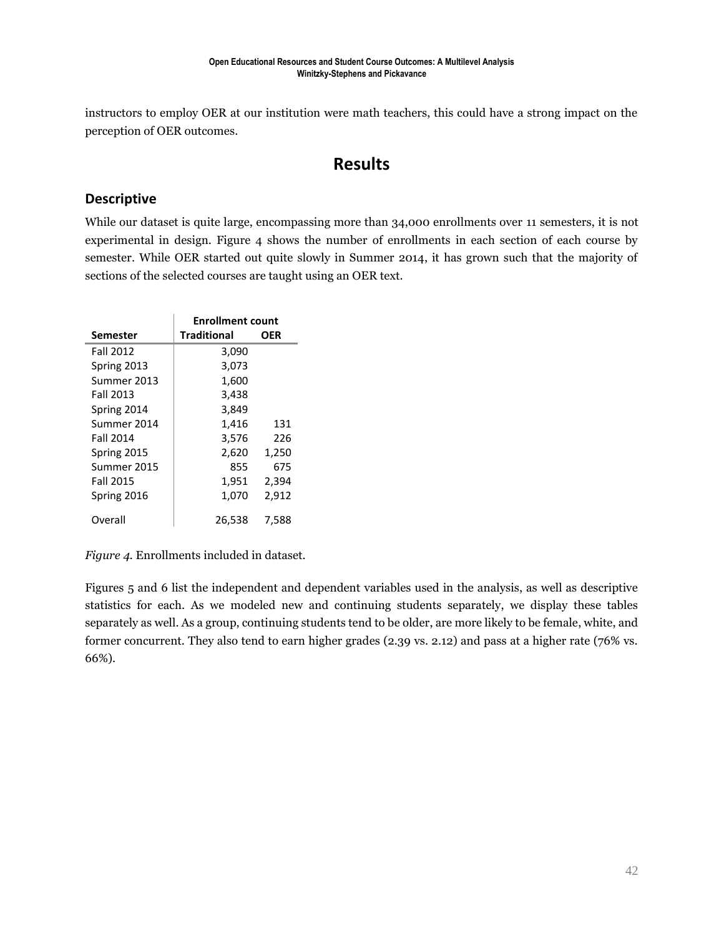instructors to employ OER at our institution were math teachers, this could have a strong impact on the perception of OER outcomes.

### **Results**

### **Descriptive**

While our dataset is quite large, encompassing more than 34,000 enrollments over 11 semesters, it is not experimental in design. Figure 4 shows the number of enrollments in each section of each course by semester. While OER started out quite slowly in Summer 2014, it has grown such that the majority of sections of the selected courses are taught using an OER text.

|                  | <b>Enrollment count</b> |       |  |  |  |  |
|------------------|-------------------------|-------|--|--|--|--|
| Semester         | <b>Traditional</b>      | OER   |  |  |  |  |
| <b>Fall 2012</b> | 3,090                   |       |  |  |  |  |
| Spring 2013      | 3,073                   |       |  |  |  |  |
| Summer 2013      | 1,600                   |       |  |  |  |  |
| <b>Fall 2013</b> | 3,438                   |       |  |  |  |  |
| Spring 2014      | 3,849                   |       |  |  |  |  |
| Summer 2014      | 1,416                   | 131   |  |  |  |  |
| <b>Fall 2014</b> | 3,576                   | 226   |  |  |  |  |
| Spring 2015      | 2,620                   | 1,250 |  |  |  |  |
| Summer 2015      | 855                     | 675   |  |  |  |  |
| <b>Fall 2015</b> | 1,951                   | 2,394 |  |  |  |  |
| Spring 2016      | 1,070                   | 2,912 |  |  |  |  |
| Overall          | 26,538                  | 7,588 |  |  |  |  |

*Figure 4.* Enrollments included in dataset.

Figures 5 and 6 list the independent and dependent variables used in the analysis, as well as descriptive statistics for each. As we modeled new and continuing students separately, we display these tables separately as well. As a group, continuing students tend to be older, are more likely to be female, white, and former concurrent. They also tend to earn higher grades (2.39 vs. 2.12) and pass at a higher rate (76% vs. 66%).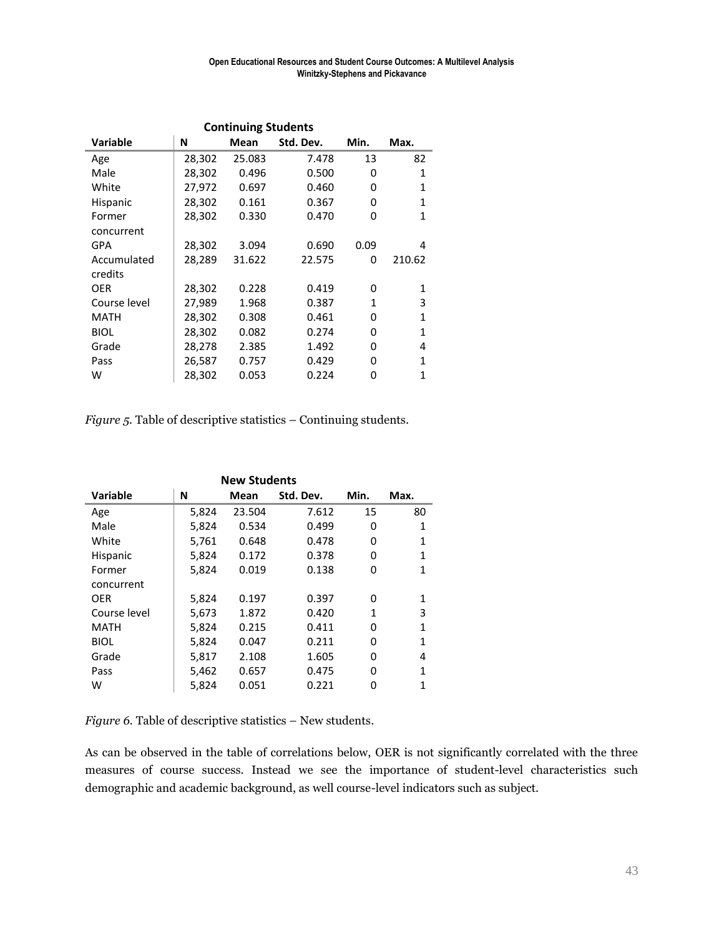| <b>Continuing Students</b> |        |        |           |              |              |  |  |  |  |  |  |
|----------------------------|--------|--------|-----------|--------------|--------------|--|--|--|--|--|--|
| <b>Variable</b>            | N      | Mean   | Std. Dev. | Min.         | Max.         |  |  |  |  |  |  |
| Age                        | 28,302 | 25.083 | 7.478     | 13           | 82           |  |  |  |  |  |  |
| Male                       | 28,302 | 0.496  | 0.500     | 0            | 1            |  |  |  |  |  |  |
| White                      | 27,972 | 0.697  | 0.460     | 0            | 1            |  |  |  |  |  |  |
| <b>Hispanic</b>            | 28,302 | 0.161  | 0.367     | 0            | 1            |  |  |  |  |  |  |
| Former                     | 28,302 | 0.330  | 0.470     | 0            | 1            |  |  |  |  |  |  |
| concurrent                 |        |        |           |              |              |  |  |  |  |  |  |
| GPA                        | 28,302 | 3.094  | 0.690     | 0.09         | 4            |  |  |  |  |  |  |
| Accumulated                | 28,289 | 31.622 | 22.575    | 0            | 210.62       |  |  |  |  |  |  |
| credits                    |        |        |           |              |              |  |  |  |  |  |  |
| <b>OER</b>                 | 28,302 | 0.228  | 0.419     | 0            | 1            |  |  |  |  |  |  |
| Course level               | 27,989 | 1.968  | 0.387     | $\mathbf{1}$ | 3            |  |  |  |  |  |  |
| <b>MATH</b>                | 28,302 | 0.308  | 0.461     | 0            | $\mathbf{1}$ |  |  |  |  |  |  |
| <b>BIOL</b>                | 28,302 | 0.082  | 0.274     | 0            | $\mathbf{1}$ |  |  |  |  |  |  |
| Grade                      | 28,278 | 2.385  | 1.492     | 0            | 4            |  |  |  |  |  |  |
| Pass                       | 26,587 | 0.757  | 0.429     | 0            | 1            |  |  |  |  |  |  |
| w                          | 28,302 | 0.053  | 0.224     | 0            | 1            |  |  |  |  |  |  |

*Figure 5.* Table of descriptive statistics – Continuing students.

| <b>New Students</b> |       |        |           |      |      |  |  |  |  |  |
|---------------------|-------|--------|-----------|------|------|--|--|--|--|--|
| <b>Variable</b>     | N     | Mean   | Std. Dev. | Min. | Max. |  |  |  |  |  |
| Age                 | 5,824 | 23.504 | 7.612     | 15   | 80   |  |  |  |  |  |
| Male                | 5,824 | 0.534  | 0.499     | 0    | 1    |  |  |  |  |  |
| White               | 5,761 | 0.648  | 0.478     | 0    | 1    |  |  |  |  |  |
| <b>Hispanic</b>     | 5,824 | 0.172  | 0.378     | 0    | 1    |  |  |  |  |  |
| Former              | 5.824 | 0.019  | 0.138     | 0    | 1    |  |  |  |  |  |
| concurrent          |       |        |           |      |      |  |  |  |  |  |
| <b>OER</b>          | 5,824 | 0.197  | 0.397     | 0    | 1    |  |  |  |  |  |
| Course level        | 5,673 | 1.872  | 0.420     | 1    | 3    |  |  |  |  |  |
| MATH                | 5,824 | 0.215  | 0.411     | 0    | 1    |  |  |  |  |  |
| <b>BIOL</b>         | 5,824 | 0.047  | 0.211     | 0    | 1    |  |  |  |  |  |
| Grade               | 5,817 | 2.108  | 1.605     | 0    | 4    |  |  |  |  |  |
| Pass                | 5,462 | 0.657  | 0.475     | 0    | 1    |  |  |  |  |  |
| w                   | 5,824 | 0.051  | 0.221     | 0    | 1    |  |  |  |  |  |

*Figure 6.* Table of descriptive statistics – New students.

As can be observed in the table of correlations below, OER is not significantly correlated with the three measures of course success. Instead we see the importance of student-level characteristics such demographic and academic background, as well course-level indicators such as subject.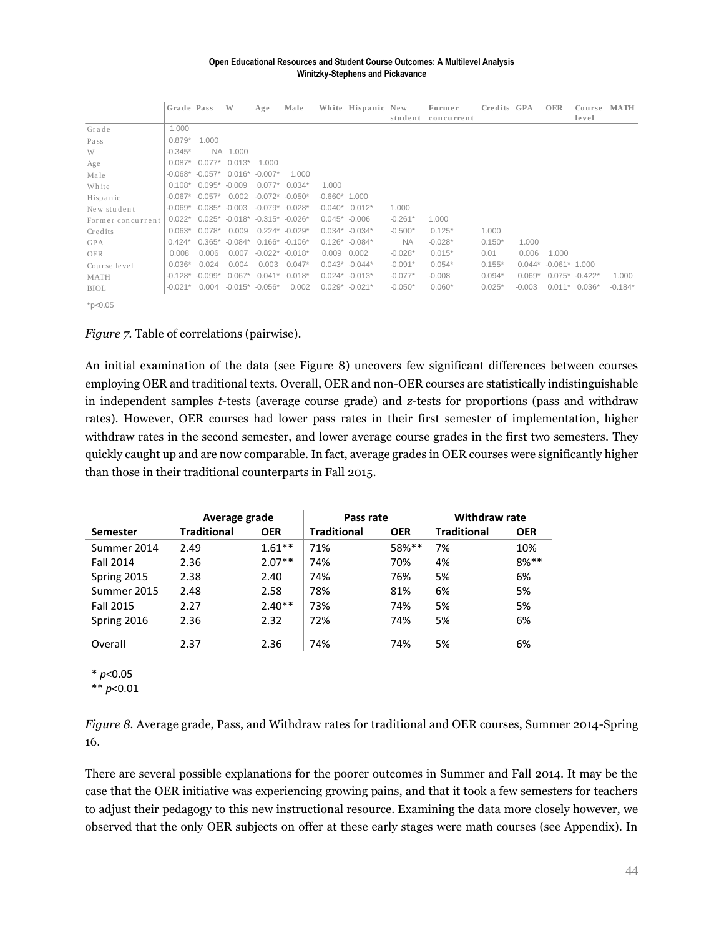| <b>Open Educational Resources and Student Course Outcomes: A Multilevel Analysis</b><br><b>Winitzky-Stephens and Pickavance</b> |            |                       |           |           |                  |                |                    |           |                      |             |          |                 |                 |             |
|---------------------------------------------------------------------------------------------------------------------------------|------------|-----------------------|-----------|-----------|------------------|----------------|--------------------|-----------|----------------------|-------------|----------|-----------------|-----------------|-------------|
|                                                                                                                                 | Grade Pass |                       | W         | Age       | Male             |                | White Hispanic New | student   | Former<br>concurrent | Credits GPA |          | <b>OER</b>      | Course<br>level | <b>MATH</b> |
| Grade                                                                                                                           | 1.000      |                       |           |           |                  |                |                    |           |                      |             |          |                 |                 |             |
| Pass                                                                                                                            | $0.879*$   | 1.000                 |           |           |                  |                |                    |           |                      |             |          |                 |                 |             |
| W                                                                                                                               | $-0.345*$  | <b>NA</b>             | 1.000     |           |                  |                |                    |           |                      |             |          |                 |                 |             |
| Age                                                                                                                             | $0.087*$   | $0.077*$              | $0.013*$  | 1.000     |                  |                |                    |           |                      |             |          |                 |                 |             |
| Male                                                                                                                            | $-0.068*$  | $-0.057*$             | $0.016*$  | $-0.007*$ | 1.000            |                |                    |           |                      |             |          |                 |                 |             |
| White                                                                                                                           | $0.108*$   | $0.095*$              | $-0.009$  | $0.077*$  | $0.034*$         | 1.000          |                    |           |                      |             |          |                 |                 |             |
| Hispanic                                                                                                                        |            | $-0.067$ $-0.057$ $*$ | 0.002     | $-0.072*$ | $-0.050*$        | $-0.660*1.000$ |                    |           |                      |             |          |                 |                 |             |
| New student                                                                                                                     | $-0.069*$  | $-0.085*$             | $-0.003$  | $-0.079*$ | $0.028*$         | $-0.040*$      | $0.012*$           | 1.000     |                      |             |          |                 |                 |             |
| Former concurrent                                                                                                               | $0.022*$   | $0.025*$              | $-0.018*$ | $-0.315*$ | $-0.026*$        | $0.045*$       | $-0.006$           | $-0.261*$ | 1.000                |             |          |                 |                 |             |
| Credits                                                                                                                         | $0.063*$   | $0.078*$              | 0.009     | $0.224*$  | $-0.029*$        |                | $0.034* -0.034*$   | $-0.500*$ | $0.125*$             | 1.000       |          |                 |                 |             |
| <b>GPA</b>                                                                                                                      | $0.424*$   | $0.365*$              | $-0.084*$ |           | $0.166* -0.106*$ |                | $0.126* -0.084*$   | <b>NA</b> | $-0.028*$            | $0.150*$    | 1.000    |                 |                 |             |
| <b>OER</b>                                                                                                                      | 0.008      | 0.006                 | 0.007     | $-0.022*$ | $-0.018*$        | 0.009          | 0.002              | $-0.028*$ | $0.015*$             | 0.01        | 0.006    | 1.000           |                 |             |
| Course level                                                                                                                    | $0.036*$   | 0.024                 | 0.004     | 0.003     | $0.047*$         |                | $0.043* -0.044*$   | $-0.091*$ | $0.054*$             | $0.155*$    | $0.044*$ | $-0.061*$ 1.000 |                 |             |
| <b>MATH</b>                                                                                                                     | $-0.128*$  | $-0.099*$             | $0.067*$  | $0.041*$  | $0.018*$         |                | $0.024* -0.013*$   | $-0.077*$ | $-0.008$             | $0.094*$    | $0.069*$ | $0.075*$        | $-0.422*$       | 1.000       |
| <b>BIOL</b>                                                                                                                     | $-0.021*$  | 0.004                 | $-0.015*$ | $-0.056*$ | 0.002            | $0.029*$       | $-0.021*$          | $-0.050*$ | $0.060*$             | $0.025*$    | $-0.003$ | $0.011*$        | $0.036*$        | $-0.184*$   |

 $*p<0.05$ 

#### *Figure 7.* Table of correlations (pairwise).

An initial examination of the data (see Figure 8) uncovers few significant differences between courses employing OER and traditional texts. Overall, OER and non-OER courses are statistically indistinguishable in independent samples *t*-tests (average course grade) and *z*-tests for proportions (pass and withdraw rates). However, OER courses had lower pass rates in their first semester of implementation, higher withdraw rates in the second semester, and lower average course grades in the first two semesters. They quickly caught up and are now comparable. In fact, average grades in OER courses were significantly higher than those in their traditional counterparts in Fall 2015.

|                  | Average grade      |            | Pass rate          |            | <b>Withdraw rate</b> |            |  |
|------------------|--------------------|------------|--------------------|------------|----------------------|------------|--|
| <b>Semester</b>  | <b>Traditional</b> | <b>OER</b> | <b>Traditional</b> | <b>OER</b> | <b>Traditional</b>   | <b>OER</b> |  |
| Summer 2014      | 2.49               | $1.61***$  | 71%                | 58%**      | 7%                   | 10%        |  |
| <b>Fall 2014</b> | 2.36               | $2.07**$   | 74%                | 70%        | 4%                   | $8%***$    |  |
| Spring 2015      | 2.38               | 2.40       | 74%                | 76%        | 5%                   | 6%         |  |
| Summer 2015      | 2.48               | 2.58       | 78%                | 81%        | 6%                   | 5%         |  |
| <b>Fall 2015</b> | 2.27               | $2.40**$   | 73%                | 74%        | 5%                   | 5%         |  |
| Spring 2016      | 2.36               | 2.32       | 72%                | 74%        | 5%                   | 6%         |  |
| Overall          | 2.37               | 2.36       | 74%                | 74%        | 5%                   | 6%         |  |

\* *p*<0.05

\*\* *p*<0.01

*Figure 8.* Average grade, Pass, and Withdraw rates for traditional and OER courses, Summer 2014-Spring 16.

There are several possible explanations for the poorer outcomes in Summer and Fall 2014. It may be the case that the OER initiative was experiencing growing pains, and that it took a few semesters for teachers to adjust their pedagogy to this new instructional resource. Examining the data more closely however, we observed that the only OER subjects on offer at these early stages were math courses (see Appendix). In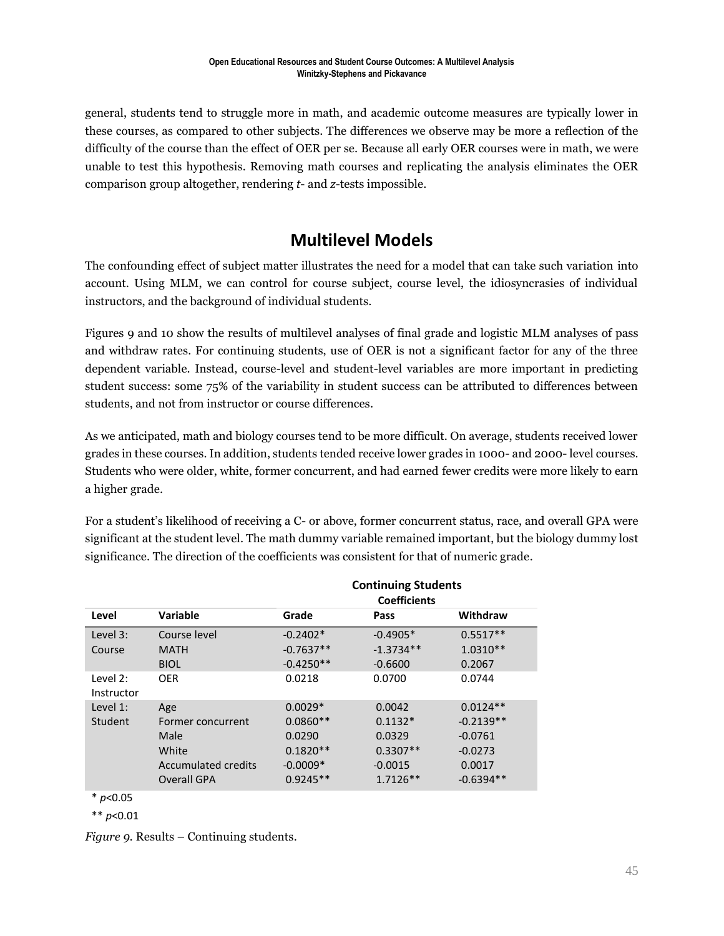general, students tend to struggle more in math, and academic outcome measures are typically lower in these courses, as compared to other subjects. The differences we observe may be more a reflection of the difficulty of the course than the effect of OER per se. Because all early OER courses were in math, we were unable to test this hypothesis. Removing math courses and replicating the analysis eliminates the OER comparison group altogether, rendering *t*- and *z*-tests impossible.

### **Multilevel Models**

The confounding effect of subject matter illustrates the need for a model that can take such variation into account. Using MLM, we can control for course subject, course level, the idiosyncrasies of individual instructors, and the background of individual students.

Figures 9 and 10 show the results of multilevel analyses of final grade and logistic MLM analyses of pass and withdraw rates. For continuing students, use of OER is not a significant factor for any of the three dependent variable. Instead, course-level and student-level variables are more important in predicting student success: some 75% of the variability in student success can be attributed to differences between students, and not from instructor or course differences.

As we anticipated, math and biology courses tend to be more difficult. On average, students received lower grades in these courses. In addition, students tended receive lower grades in 1000- and 2000- level courses. Students who were older, white, former concurrent, and had earned fewer credits were more likely to earn a higher grade.

For a student's likelihood of receiving a C- or above, former concurrent status, race, and overall GPA were significant at the student level. The math dummy variable remained important, but the biology dummy lost significance. The direction of the coefficients was consistent for that of numeric grade.

|                        |                                                                                        |                                                                             | <b>Continuing Students</b>                                             |                                                                              |
|------------------------|----------------------------------------------------------------------------------------|-----------------------------------------------------------------------------|------------------------------------------------------------------------|------------------------------------------------------------------------------|
| Level                  | Variable                                                                               | Grade                                                                       | Pass                                                                   | Withdraw                                                                     |
| Level 3:<br>Course     | Course level<br><b>MATH</b><br><b>BIOL</b>                                             | $-0.2402*$<br>$-0.7637**$<br>$-0.4250**$                                    | $-0.4905*$<br>$-1.3734**$<br>$-0.6600$                                 | $0.5517**$<br>$1.0310**$<br>0.2067                                           |
| Level 2:<br>Instructor | <b>OER</b>                                                                             | 0.0218                                                                      | 0.0700                                                                 | 0.0744                                                                       |
| Level 1:<br>Student    | Age<br>Former concurrent<br>Male<br>White<br>Accumulated credits<br><b>Overall GPA</b> | $0.0029*$<br>$0.0860**$<br>0.0290<br>$0.1820**$<br>$-0.0009*$<br>$0.9245**$ | 0.0042<br>$0.1132*$<br>0.0329<br>$0.3307**$<br>$-0.0015$<br>$1.7126**$ | $0.0124**$<br>$-0.2139**$<br>$-0.0761$<br>$-0.0273$<br>0.0017<br>$-0.6394**$ |
| * ^^                   |                                                                                        |                                                                             |                                                                        |                                                                              |

\* *p*<0.05

\*\* *p*<0.01

*Figure 9.* Results – Continuing students.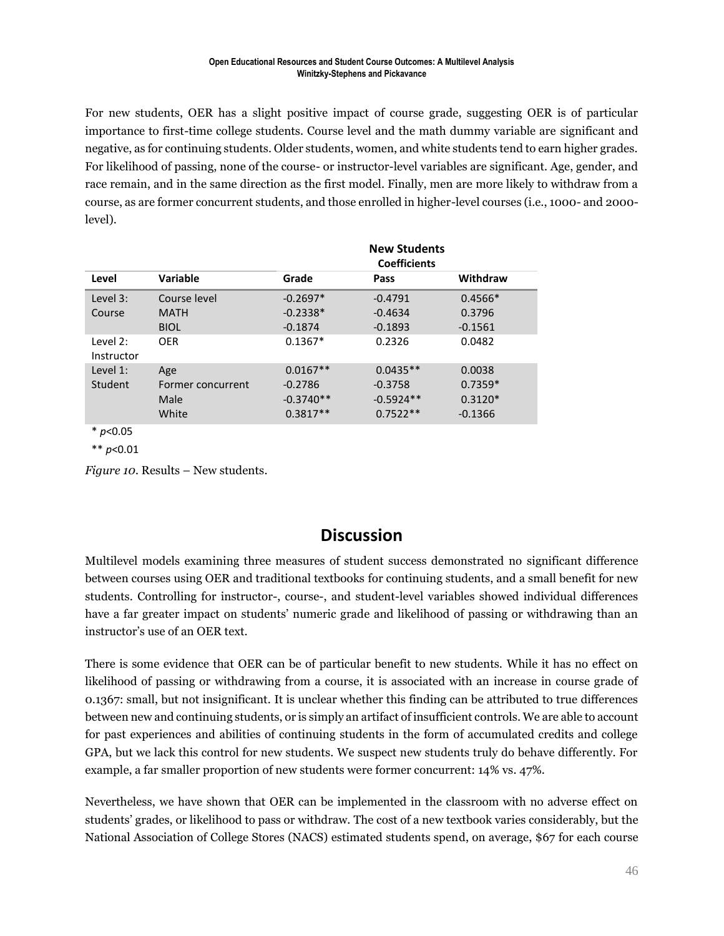For new students, OER has a slight positive impact of course grade, suggesting OER is of particular importance to first-time college students. Course level and the math dummy variable are significant and negative, as for continuing students. Older students, women, and white students tend to earn higher grades. For likelihood of passing, none of the course- or instructor-level variables are significant. Age, gender, and race remain, and in the same direction as the first model. Finally, men are more likely to withdraw from a course, as are former concurrent students, and those enrolled in higher-level courses (i.e., 1000- and 2000 level).

|                        |                   |             | <b>New Students</b><br><b>Coefficients</b> |           |
|------------------------|-------------------|-------------|--------------------------------------------|-----------|
| Level                  | Variable          | Grade       | Pass                                       | Withdraw  |
| Level 3:               | Course level      | $-0.2697*$  | $-0.4791$                                  | $0.4566*$ |
| Course                 | <b>MATH</b>       | $-0.2338*$  | $-0.4634$                                  | 0.3796    |
|                        | <b>BIOL</b>       | $-0.1874$   | $-0.1893$                                  | $-0.1561$ |
| Level 2:<br>Instructor | <b>OER</b>        | $0.1367*$   | 0.2326                                     | 0.0482    |
| Level 1:               | Age               | $0.0167**$  | $0.0435**$                                 | 0.0038    |
| Student                | Former concurrent | $-0.2786$   | $-0.3758$                                  | $0.7359*$ |
|                        | Male              | $-0.3740**$ | $-0.5924**$                                | $0.3120*$ |
|                        | White             | $0.3817**$  | $0.7522**$                                 | $-0.1366$ |

\* *p*<0.05

\*\* *p*<0.01

*Figure 10.* Results – New students.

### **Discussion**

Multilevel models examining three measures of student success demonstrated no significant difference between courses using OER and traditional textbooks for continuing students, and a small benefit for new students. Controlling for instructor-, course-, and student-level variables showed individual differences have a far greater impact on students' numeric grade and likelihood of passing or withdrawing than an instructor's use of an OER text.

There is some evidence that OER can be of particular benefit to new students. While it has no effect on likelihood of passing or withdrawing from a course, it is associated with an increase in course grade of 0.1367: small, but not insignificant. It is unclear whether this finding can be attributed to true differences between new and continuing students, or is simply an artifact of insufficient controls. We are able to account for past experiences and abilities of continuing students in the form of accumulated credits and college GPA, but we lack this control for new students. We suspect new students truly do behave differently. For example, a far smaller proportion of new students were former concurrent: 14% vs. 47%.

Nevertheless, we have shown that OER can be implemented in the classroom with no adverse effect on students' grades, or likelihood to pass or withdraw. The cost of a new textbook varies considerably, but the National Association of College Stores (NACS) estimated students spend, on average, \$67 for each course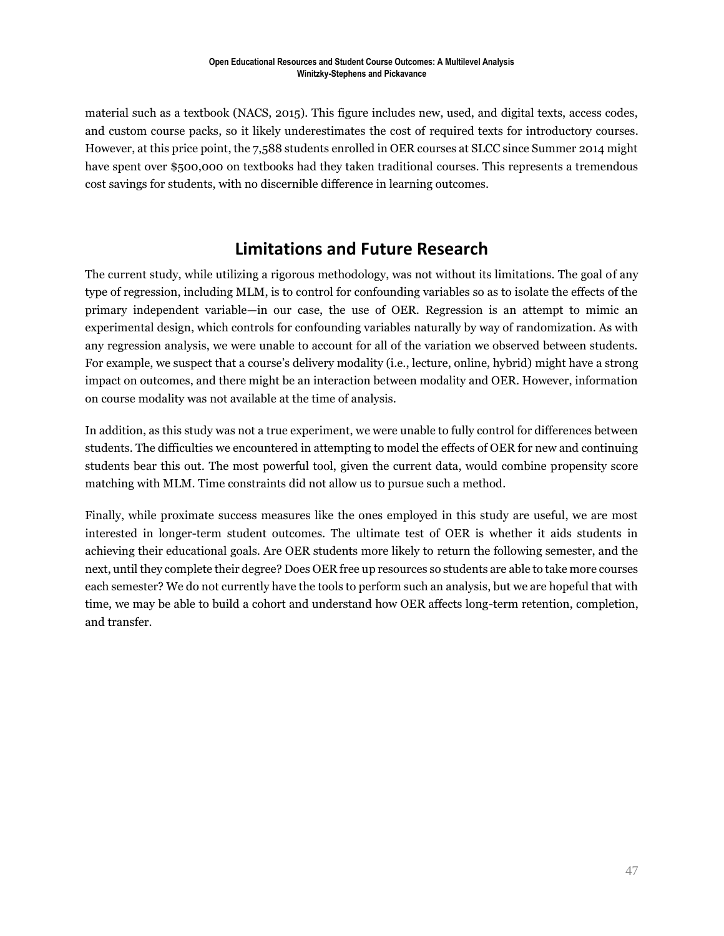material such as a textbook (NACS, 2015). This figure includes new, used, and digital texts, access codes, and custom course packs, so it likely underestimates the cost of required texts for introductory courses. However, at this price point, the 7,588 students enrolled in OER courses at SLCC since Summer 2014 might have spent over \$500,000 on textbooks had they taken traditional courses. This represents a tremendous cost savings for students, with no discernible difference in learning outcomes.

### **Limitations and Future Research**

The current study, while utilizing a rigorous methodology, was not without its limitations. The goal of any type of regression, including MLM, is to control for confounding variables so as to isolate the effects of the primary independent variable—in our case, the use of OER. Regression is an attempt to mimic an experimental design, which controls for confounding variables naturally by way of randomization. As with any regression analysis, we were unable to account for all of the variation we observed between students. For example, we suspect that a course's delivery modality (i.e., lecture, online, hybrid) might have a strong impact on outcomes, and there might be an interaction between modality and OER. However, information on course modality was not available at the time of analysis.

In addition, as this study was not a true experiment, we were unable to fully control for differences between students. The difficulties we encountered in attempting to model the effects of OER for new and continuing students bear this out. The most powerful tool, given the current data, would combine propensity score matching with MLM. Time constraints did not allow us to pursue such a method.

Finally, while proximate success measures like the ones employed in this study are useful, we are most interested in longer-term student outcomes. The ultimate test of OER is whether it aids students in achieving their educational goals. Are OER students more likely to return the following semester, and the next, until they complete their degree? Does OER free up resources so students are able to take more courses each semester? We do not currently have the tools to perform such an analysis, but we are hopeful that with time, we may be able to build a cohort and understand how OER affects long-term retention, completion, and transfer.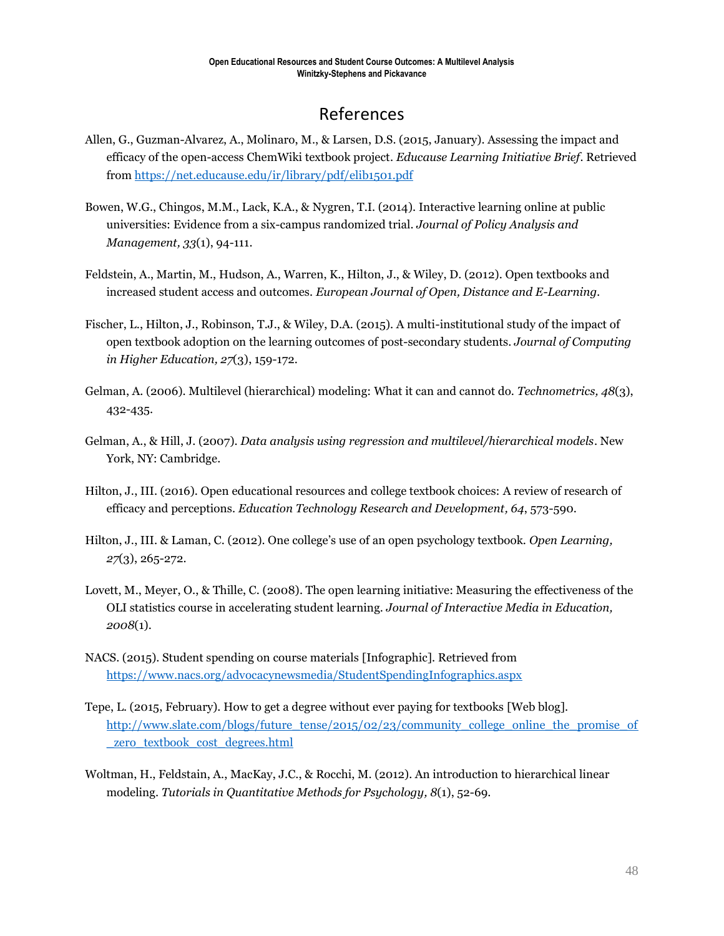### References

- Allen, G., Guzman-Alvarez, A., Molinaro, M., & Larsen, D.S. (2015, January). Assessing the impact and efficacy of the open-access ChemWiki textbook project. *Educause Learning Initiative Brief*. Retrieved from<https://net.educause.edu/ir/library/pdf/elib1501.pdf>
- Bowen, W.G., Chingos, M.M., Lack, K.A., & Nygren, T.I. (2014). Interactive learning online at public universities: Evidence from a six-campus randomized trial. *Journal of Policy Analysis and Management, 33*(1), 94-111.
- Feldstein, A., Martin, M., Hudson, A., Warren, K., Hilton, J., & Wiley, D. (2012). Open textbooks and increased student access and outcomes. *European Journal of Open, Distance and E-Learning.*
- Fischer, L., Hilton, J., Robinson, T.J., & Wiley, D.A. (2015). A multi-institutional study of the impact of open textbook adoption on the learning outcomes of post-secondary students. *Journal of Computing in Higher Education, 27*(3), 159-172.
- Gelman, A. (2006). Multilevel (hierarchical) modeling: What it can and cannot do. *Technometrics, 48*(3), 432-435.
- Gelman, A., & Hill, J. (2007). *Data analysis using regression and multilevel/hierarchical models*. New York, NY: Cambridge.
- Hilton, J., III. (2016). Open educational resources and college textbook choices: A review of research of efficacy and perceptions. *Education Technology Research and Development, 64*, 573-590.
- Hilton, J., III. & Laman, C. (2012). One college's use of an open psychology textbook. *Open Learning, 27*(3), 265-272.
- Lovett, M., Meyer, O., & Thille, C. (2008). The open learning initiative: Measuring the effectiveness of the OLI statistics course in accelerating student learning. *Journal of Interactive Media in Education, 2008*(1).
- NACS. (2015). Student spending on course materials [Infographic]. Retrieved from <https://www.nacs.org/advocacynewsmedia/StudentSpendingInfographics.aspx>
- Tepe, L. (2015, February). How to get a degree without ever paying for textbooks [Web blog]. [http://www.slate.com/blogs/future\\_tense/2015/02/23/community\\_college\\_online\\_the\\_promise\\_of](http://www.slate.com/blogs/future_tense/2015/02/23/community_college_online_the_promise_of_zero_textbook_cost_degrees.html) [\\_zero\\_textbook\\_cost\\_degrees.html](http://www.slate.com/blogs/future_tense/2015/02/23/community_college_online_the_promise_of_zero_textbook_cost_degrees.html)
- Woltman, H., Feldstain, A., MacKay, J.C., & Rocchi, M. (2012). An introduction to hierarchical linear modeling. *Tutorials in Quantitative Methods for Psychology, 8*(1), 52-69.